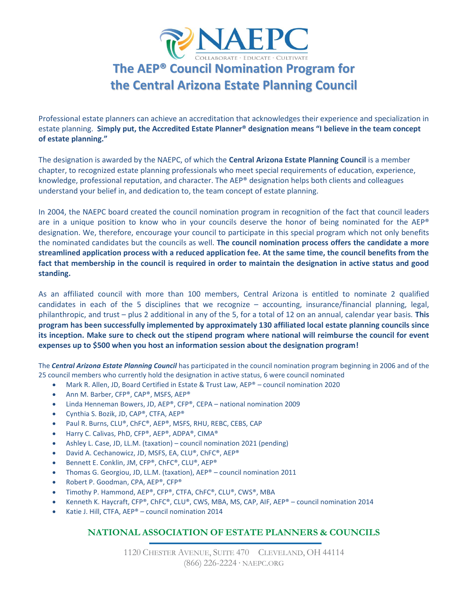

# **The AEP® Council Nomination Program for the Central Arizona Estate Planning Council**

Professional estate planners can achieve an accreditation that acknowledges their experience and specialization in estate planning. **Simply put, the [Accredited Estate Planner® designation](http://www.naepc.org/AEP) means "I believe in the team concept of estate planning."**

The designation is awarded by the NAEPC, of which the **Central Arizona Estate Planning Council** is a member chapter, to recognized estate planning professionals who meet special requirements of education, experience, knowledge, professional reputation, and character. The AEP® designation helps both clients and colleagues understand your belief in, and dedication to, the team concept of estate planning.

In 2004, the NAEPC board created the council nomination program in recognition of the fact that council leaders are in a unique position to know who in your councils deserve the honor of being nominated for the AEP® designation. We, therefore, encourage your council to participate in this special program which not only benefits the nominated candidates but the councils as well. **The council nomination process offers the candidate a more streamlined application process with a reduced application fee. At the same time, the council benefits from the fact that membership in the council is required in order to maintain the designation in active status and good standing.** 

As an affiliated council with more than 100 members, Central Arizona is entitled to nominate 2 qualified candidates in each of the 5 disciplines that we recognize – accounting, insurance/financial planning, legal, philanthropic, and trust – plus 2 additional in any of the 5, for a total of 12 on an annual, calendar year basis. **This program has been successfully implemented by approximately 130 affiliated local estate planning councils since its inception. Make sure to check out the stipend program where national will reimburse the council for event expenses up to \$500 when you host an information session about the designation program!**

The *Central Arizona Estate Planning Council* has participated in the council nomination program beginning in 2006 and of the 25 council members who currently hold the designation in active status, 6 were council nominated

- Mark R. Allen, JD, Board Certified in Estate & Trust Law, AEP® council nomination 2020
- Ann M. Barber, CFP®, CAP®, MSFS, AEP®
- Linda Henneman Bowers, JD, AEP®, CFP®, CEPA national nomination 2009
- Cynthia S. Bozik, JD, CAP®, CTFA, AEP®
- Paul R. Burns, CLU®, ChFC®, AEP®, MSFS, RHU, REBC, CEBS, CAP
- Harry C. Calivas, PhD, CFP®, AEP®, ADPA®, CIMA®
- Ashley L. Case, JD, LL.M. (taxation) council nomination 2021 (pending)
- David A. Cechanowicz, JD, MSFS, EA, CLU®, ChFC®, AEP®
- Bennett E. Conklin, JM, CFP®, ChFC®, CLU®, AEP®
- Thomas G. Georgiou, JD, LL.M. (taxation), AEP® council nomination 2011
- Robert P. Goodman, CPA, AEP®, CFP®
- Timothy P. Hammond, AEP®, CFP®, CTFA, ChFC®, CLU®, CWS®, MBA
- Kenneth K. Haycraft, CFP®, ChFC®, CLU®, CWS, MBA, MS, CAP, AIF, AEP® council nomination 2014
- Katie J. Hill, CTFA, AEP® council nomination 2014

### **NATIONAL ASSOCIATION OF ESTATE PLANNERS & COUNCILS**

1120 CHESTER AVENUE, SUITE 470 CLEVELAND, OH 44114 (866) 226-2224 ∙ NAEPC.ORG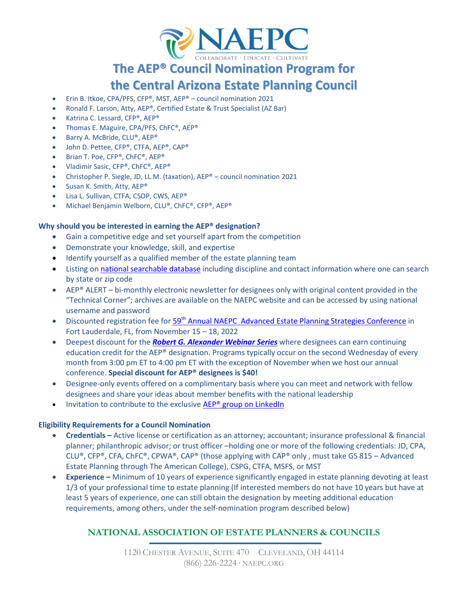

# **The AEP® Council Nomination Program for**

# **the Central Arizona Estate Planning Council**

- Erin B. Itkoe, CPA/PFS, CFP®, MST, AEP® council nomination 2021
- Ronald F. Larson, Atty, AEP®, Certified Estate & Trust Specialist (AZ Bar)
- Katrina C. Lessard, CFP®, AEP®
- Thomas E. Maguire, CPA/PFS, ChFC®, AEP®
- Barry A. McBride, CLU®, AEP®
- John D. Pettee, CFP®, CTFA, AEP®, CAP®
- Brian T. Poe, CFP®, ChFC®, AEP®
- Vladimir Sasic, CFP®, ChFC®, AEP®
- Christopher P. Siegle, JD, LL.M. (taxation), AEP® council nomination 2021
- Susan K. Smith, Atty, AEP®
- Lisa L. Sullivan, CTFA, CSOP, CWS, AEP®
- Michael Benjamin Welborn, CLU®, ChFC®, CFP®, AEP®

#### **Why should you be interested in earning the AEP® designation?**

- Gain a competitive edge and set yourself apart from the competition
- Demonstrate your knowledge, skill, and expertise
- Identify yourself as a qualified member of the estate planning team
- Listing o[n national searchable database](https://www.naepc.org/designations/estate-planners/search#spec/All) including discipline and contact information where one can search by state or zip code
- AEP® ALERT bi-monthly electronic newsletter for designees only with original content provided in the "Technical Corner"; archives are available on the NAEPC website and can be accessed by using national username and password
- Discounted registration fee for 59<sup>th</sup> [Annual NAEPC Advanced Estate Planning Strategies Conference](https://www.naepc.org/conference) in Fort Lauderdale, FL, from November 15 – 18, 2022
- Deepest discount for the *[Robert G. Alexander Webinar Series](http://www.naepc.org/events/webinar)* where designees can earn continuing education credit for the AEP® designation. Programs typically occur on the second Wednesday of every month from 3:00 pm ET to 4:00 pm ET with the exception of November when we host our annual conference. **Special discount for AEP® designees is \$40!**
- Designee-only events offered on a complimentary basis where you can meet and network with fellow designees and share your ideas about member benefits with the national leadership
- Invitation to contribute to the exclusive AEP<sup>®</sup> group on LinkedIn

#### **Eligibility Requirements for a Council Nomination**

- **Credentials –** Active license or certification as an attorney; accountant; insurance professional & financial planner; philanthropic advisor; or trust officer –holding one or more of the following credentials: JD, CPA, CLU®, CFP®, CFA, ChFC®, CPWA®, CAP® (those applying with CAP® only, must take GS 815 – Advanced Estate Planning through The American College), CSPG, CTFA, MSFS, or MST
- **Experience –** Minimum of 10 years of experience significantly engaged in estate planning devoting at least 1/3 of your professional time to estate planning (If interested members do not have 10 years but have at least 5 years of experience, one can still obtain the designation by meeting additional education requirements, among others, under the self-nomination program described below)

### **NATIONAL ASSOCIATION OF ESTATE PLANNERS & COUNCILS**

1120 CHESTER AVENUE, SUITE 470 CLEVELAND, OH 44114 (866) 226-2224 ∙ NAEPC.ORG